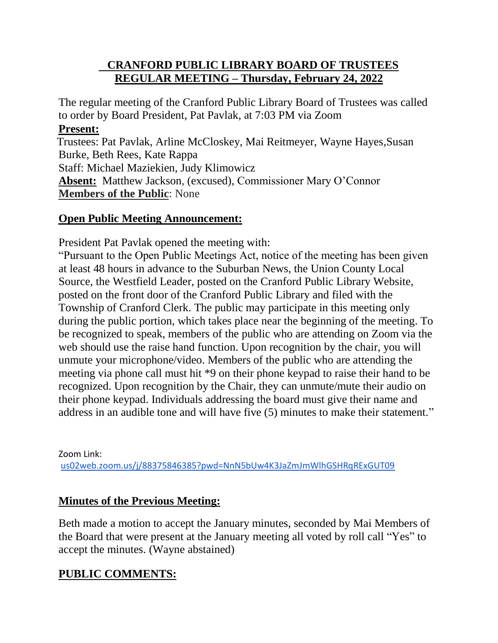### **CRANFORD PUBLIC LIBRARY BOARD OF TRUSTEES REGULAR MEETING – Thursday, February 24, 2022**

The regular meeting of the Cranford Public Library Board of Trustees was called to order by Board President, Pat Pavlak, at 7:03 PM via Zoom **Present:** Trustees: Pat Pavlak, Arline McCloskey, Mai Reitmeyer, Wayne Hayes,Susan Burke, Beth Rees, Kate Rappa Staff: Michael Maziekien, Judy Klimowicz **Absent:** Matthew Jackson, (excused), Commissioner Mary O'Connor **Members of the Public**: None

### **Open Public Meeting Announcement:**

President Pat Pavlak opened the meeting with:

"Pursuant to the Open Public Meetings Act, notice of the meeting has been given at least 48 hours in advance to the Suburban News, the Union County Local Source, the Westfield Leader, posted on the Cranford Public Library Website, posted on the front door of the Cranford Public Library and filed with the Township of Cranford Clerk. The public may participate in this meeting only during the public portion, which takes place near the beginning of the meeting. To be recognized to speak, members of the public who are attending on Zoom via the web should use the raise hand function. Upon recognition by the chair, you will unmute your microphone/video. Members of the public who are attending the meeting via phone call must hit \*9 on their phone keypad to raise their hand to be recognized. Upon recognition by the Chair, they can unmute/mute their audio on their phone keypad. Individuals addressing the board must give their name and address in an audible tone and will have five (5) minutes to make their statement."

Zoom Link: [us02web.zoom.us/j/88375846385?pwd=NnN5bUw4K3JaZmJmWlhGSHRqRExGUT09](http://us02web.zoom.us/j/88375846385?pwd=NnN5bUw4K3JaZmJmWlhGSHRqRExGUT09)

### **Minutes of the Previous Meeting:**

Beth made a motion to accept the January minutes, seconded by Mai Members of the Board that were present at the January meeting all voted by roll call "Yes" to accept the minutes. (Wayne abstained)

### **PUBLIC COMMENTS:**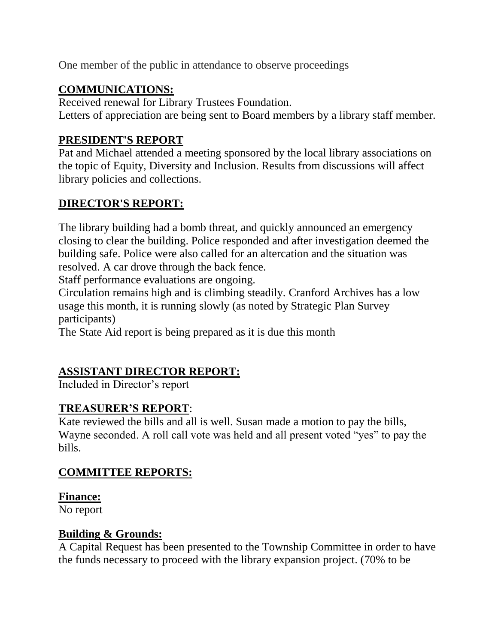One member of the public in attendance to observe proceedings

# **COMMUNICATIONS:**

Received renewal for Library Trustees Foundation. Letters of appreciation are being sent to Board members by a library staff member.

# **PRESIDENT'S REPORT**

Pat and Michael attended a meeting sponsored by the local library associations on the topic of Equity, Diversity and Inclusion. Results from discussions will affect library policies and collections.

### **DIRECTOR'S REPORT:**

The library building had a bomb threat, and quickly announced an emergency closing to clear the building. Police responded and after investigation deemed the building safe. Police were also called for an altercation and the situation was resolved. A car drove through the back fence.

Staff performance evaluations are ongoing.

Circulation remains high and is climbing steadily. Cranford Archives has a low usage this month, it is running slowly (as noted by Strategic Plan Survey participants)

The State Aid report is being prepared as it is due this month

# **ASSISTANT DIRECTOR REPORT:**

Included in Director's report

### **TREASURER'S REPORT**:

Kate reviewed the bills and all is well. Susan made a motion to pay the bills, Wayne seconded. A roll call vote was held and all present voted "yes" to pay the bills.

### **COMMITTEE REPORTS:**

#### **Finance:**

No report

### **Building & Grounds:**

A Capital Request has been presented to the Township Committee in order to have the funds necessary to proceed with the library expansion project. (70% to be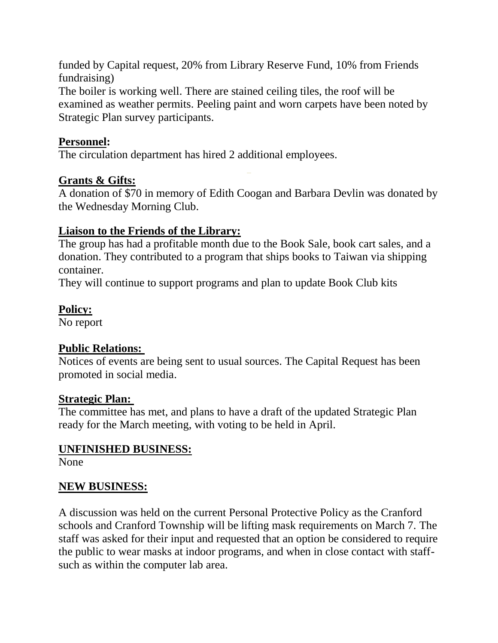funded by Capital request, 20% from Library Reserve Fund, 10% from Friends fundraising)

The boiler is working well. There are stained ceiling tiles, the roof will be examined as weather permits. Peeling paint and worn carpets have been noted by Strategic Plan survey participants.

### **Personnel:**

The circulation department has hired 2 additional employees.

# **Grants & Gifts:**

A donation of \$70 in memory of Edith Coogan and Barbara Devlin was donated by the Wednesday Morning Club.

# **Liaison to the Friends of the Library:**

The group has had a profitable month due to the Book Sale, book cart sales, and a donation. They contributed to a program that ships books to Taiwan via shipping container.

They will continue to support programs and plan to update Book Club kits

# **Policy:**

No report

### **Public Relations:**

Notices of events are being sent to usual sources. The Capital Request has been promoted in social media.

### **Strategic Plan:**

The committee has met, and plans to have a draft of the updated Strategic Plan ready for the March meeting, with voting to be held in April.

# **UNFINISHED BUSINESS:**

None

# **NEW BUSINESS:**

A discussion was held on the current Personal Protective Policy as the Cranford schools and Cranford Township will be lifting mask requirements on March 7. The staff was asked for their input and requested that an option be considered to require the public to wear masks at indoor programs, and when in close contact with staffsuch as within the computer lab area.